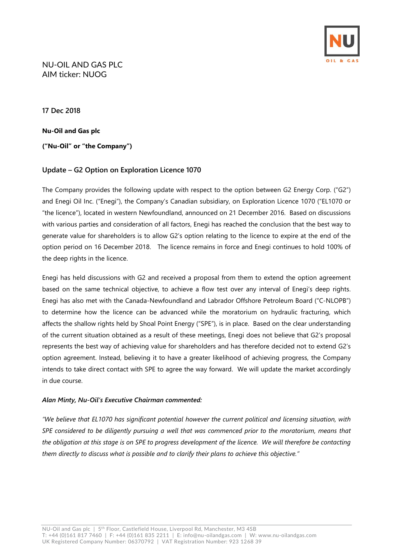

### NU-OIL AND GAS PLC AIM ticker: NUOG

**17 Dec 2018**

**Nu-Oil and Gas plc ("Nu-Oil" or "the Company")**

# **Update – G2 Option on Exploration Licence 1070**

The Company provides the following update with respect to the option between G2 Energy Corp. ("G2") and Enegi Oil Inc. ("Enegi"), the Company's Canadian subsidiary, on Exploration Licence 1070 ("EL1070 or "the licence"), located in western Newfoundland, announced on 21 December 2016. Based on discussions with various parties and consideration of all factors, Enegi has reached the conclusion that the best way to generate value for shareholders is to allow G2's option relating to the licence to expire at the end of the option period on 16 December 2018. The licence remains in force and Enegi continues to hold 100% of the deep rights in the licence.

Enegi has held discussions with G2 and received a proposal from them to extend the option agreement based on the same technical objective, to achieve a flow test over any interval of Enegi's deep rights. Enegi has also met with the Canada-Newfoundland and Labrador Offshore Petroleum Board ("C-NLOPB") to determine how the licence can be advanced while the moratorium on hydraulic fracturing, which affects the shallow rights held by Shoal Point Energy ("SPE"), is in place. Based on the clear understanding of the current situation obtained as a result of these meetings, Enegi does not believe that G2's proposal represents the best way of achieving value for shareholders and has therefore decided not to extend G2's option agreement. Instead, believing it to have a greater likelihood of achieving progress, the Company intends to take direct contact with SPE to agree the way forward. We will update the market accordingly in due course.

### *Alan Minty, Nu-Oil's Executive Chairman commented:*

*"We believe that EL1070 has significant potential however the current political and licensing situation, with SPE considered to be diligently pursuing a well that was commenced prior to the moratorium, means that the obligation at this stage is on SPE to progress development of the licence. We will therefore be contacting them directly to discuss what is possible and to clarify their plans to achieve this objective."*